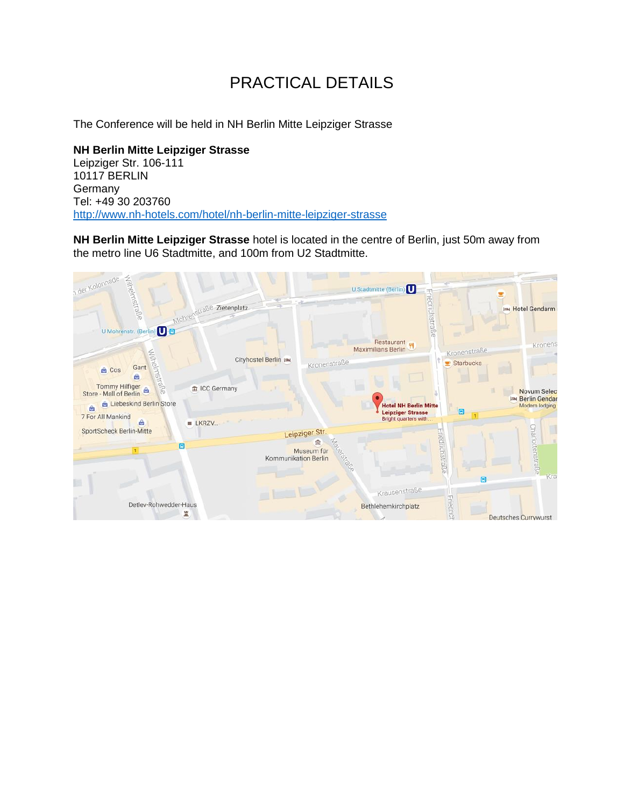# PRACTICAL DETAILS

The Conference will be held in NH Berlin Mitte Leipziger Strasse

**NH Berlin Mitte Leipziger Strasse** Leipziger Str. 106-111 10117 BERLIN Germany Tel: +49 30 203760 <http://www.nh-hotels.com/hotel/nh-berlin-mitte-leipziger-strasse>

**NH Berlin Mitte Leipziger Strasse** hotel is located in the centre of Berlin, just 50m away from the metro line U6 Stadtmitte, and 100m from U2 Stadtmitte.

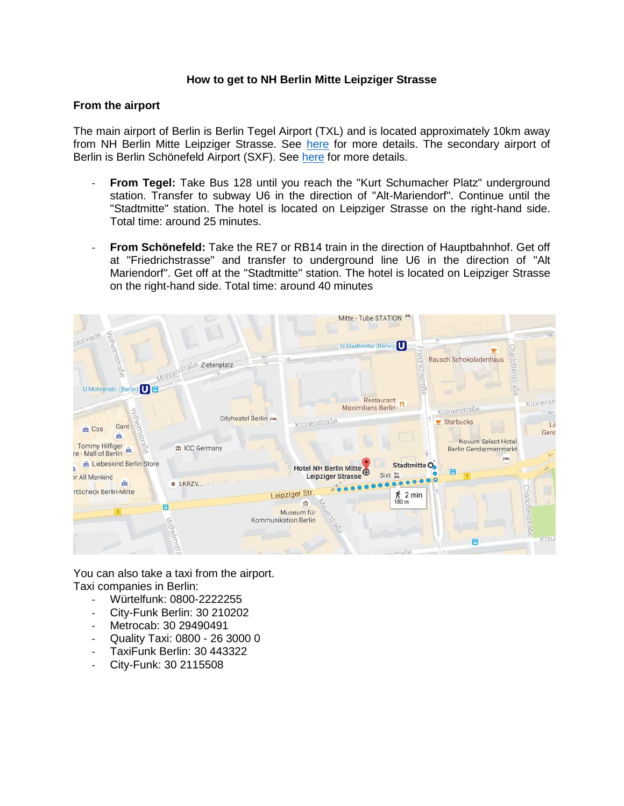### **How to get to NH Berlin Mitte Leipziger Strasse**

#### **From the airport**

The main airport of Berlin is Berlin Tegel Airport (TXL) and is located approximately 10km away from NH Berlin Mitte Leipziger Strasse. See [here](http://www.berlin-airport.de/en/travellers-txl/) for more details. The secondary airport of Berlin is Berlin Schönefeld Airport (SXF). See [here](http://www.berlin-airport.de/en/travellers-sxf/) for more details.

- **From Tegel:** Take Bus 128 until you reach the "Kurt Schumacher Platz" underground station. Transfer to subway U6 in the direction of "Alt-Mariendorf". Continue until the "Stadtmitte" station. The hotel is located on Leipziger Strasse on the right-hand side. Total time: around 25 minutes.
- **From Schönefeld:** Take the RE7 or RB14 train in the direction of Hauptbahnhof. Get off at "Friedrichstrasse" and transfer to underground line U6 in the direction of "Alt Mariendorf". Get off at the "Stadtmitte" station. The hotel is located on Leipziger Strasse on the right-hand side. Total time: around 40 minutes



You can also take a taxi from the airport. Taxi companies in Berlin:

- Würtelfunk: 0800-2222255
- City-Funk Berlin: 30 210202
- Metrocab: 30 29490491
- Quality Taxi: 0800 26 3000 0
- TaxiFunk Berlin: 30 443322
- City-Funk: 30 2115508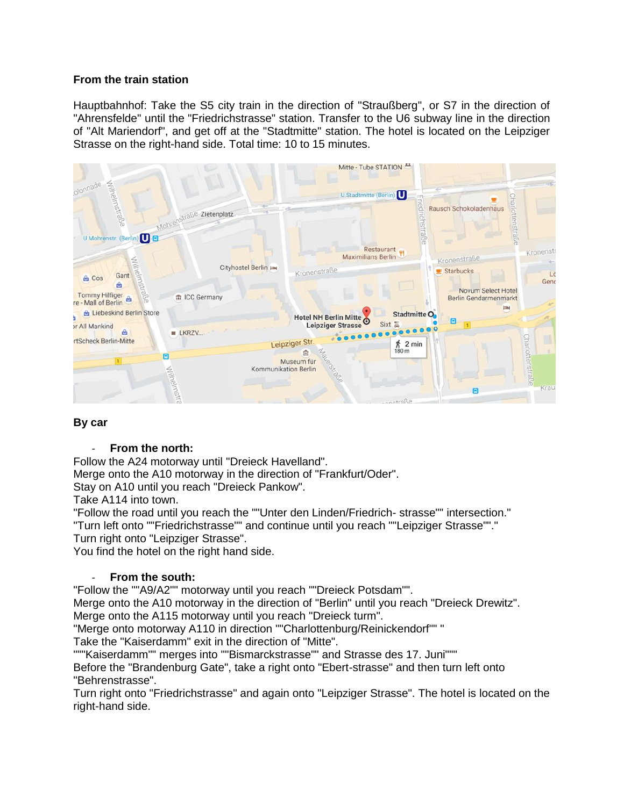# **From the train station**

Hauptbahnhof: Take the S5 city train in the direction of "Straußberg", or S7 in the direction of "Ahrensfelde" until the "Friedrichstrasse" station. Transfer to the U6 subway line in the direction of "Alt Mariendorf", and get off at the "Stadtmitte" station. The hotel is located on the Leipziger Strasse on the right-hand side. Total time: 10 to 15 minutes.



# **By car**

## - **From the north:**

Follow the A24 motorway until "Dreieck Havelland".

Merge onto the A10 motorway in the direction of "Frankfurt/Oder".

Stay on A10 until you reach "Dreieck Pankow".

Take A114 into town.

"Follow the road until you reach the ""Unter den Linden/Friedrich- strasse"" intersection." "Turn left onto ""Friedrichstrasse"" and continue until you reach ""Leipziger Strasse""."

Turn right onto "Leipziger Strasse".

You find the hotel on the right hand side.

## - **From the south:**

"Follow the ""A9/A2"" motorway until you reach ""Dreieck Potsdam"".

Merge onto the A10 motorway in the direction of "Berlin" until you reach "Dreieck Drewitz".

Merge onto the A115 motorway until you reach "Dreieck turm".

"Merge onto motorway A110 in direction ""Charlottenburg/Reinickendorf"" "

Take the "Kaiserdamm" exit in the direction of "Mitte".

"""Kaiserdamm"" merges into ""Bismarckstrasse"" and Strasse des 17. Juni"""

Before the "Brandenburg Gate", take a right onto "Ebert-strasse" and then turn left onto "Behrenstrasse".

Turn right onto "Friedrichstrasse" and again onto "Leipziger Strasse". The hotel is located on the right-hand side.